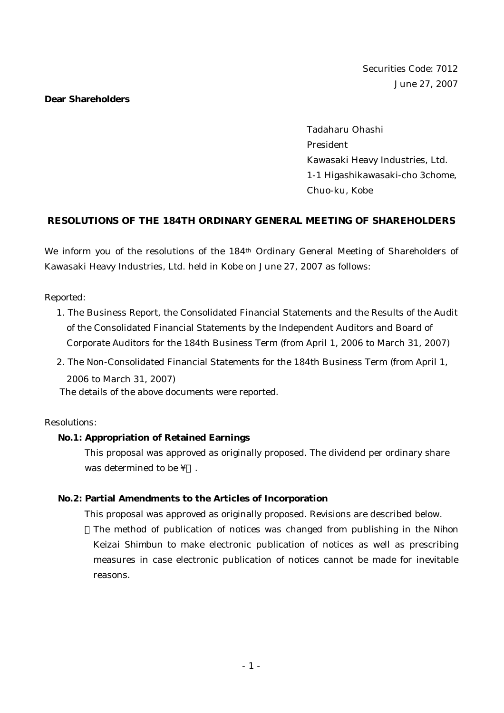#### **Dear Shareholders**

Tadaharu Ohashi President Kawasaki Heavy Industries, Ltd. 1-1 Higashikawasaki-cho 3chome, Chuo-ku, Kobe

# **RESOLUTIONS OF THE 184TH ORDINARY GENERAL MEETING OF SHAREHOLDERS**

We inform you of the resolutions of the 184th Ordinary General Meeting of Shareholders of Kawasaki Heavy Industries, Ltd. held in Kobe on June 27, 2007 as follows:

*Reported:*

- 1. The Business Report, the Consolidated Financial Statements and the Results of the Audit of the Consolidated Financial Statements by the Independent Auditors and Board of Corporate Auditors for the 184th Business Term (from April 1, 2006 to March 31, 2007)
- 2. The Non-Consolidated Financial Statements for the 184th Business Term (from April 1, 2006 to March 31, 2007)

The details of the above documents were reported.

## *Resolutions:*

## **No.1: Appropriation of Retained Earnings**

This proposal was approved as originally proposed. The dividend per ordinary share was determined to be ¥.

## **No.2: Partial Amendments to the Articles of Incorporation**

This proposal was approved as originally proposed. Revisions are described below. The method of publication of notices was changed from publishing in the *Nihon Keizai Shimbun* to make electronic publication of notices as well as prescribing measures in case electronic publication of notices cannot be made for inevitable reasons.